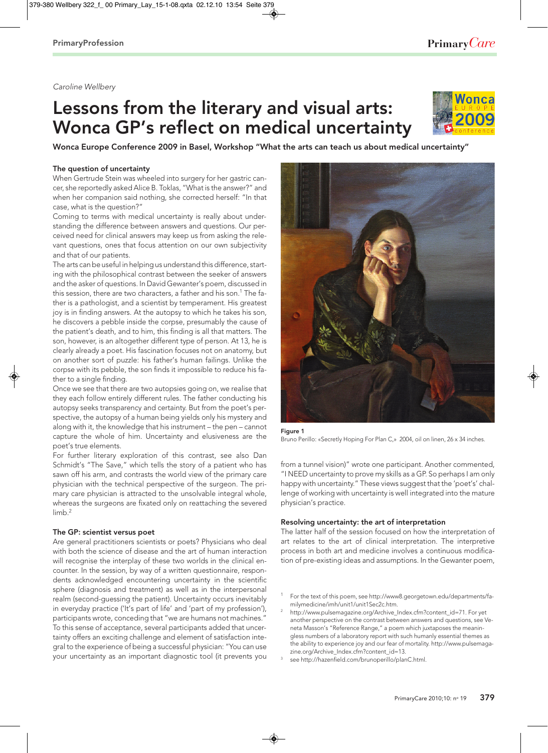# Caroline Wellbery

# Lessons from the literary and visual arts: Wonca GP's reflect on medical uncertainty



Wonca Europe Conference 2009 in Basel, Workshop "What the arts can teach us about medical uncertainty"

## The question of uncertainty

When Gertrude Stein was wheeled into surgery for her gastric cancer, she reportedly asked Alice B. Toklas, "What is the answer?" and when her companion said nothing, she corrected herself: "In that case, what is the question?"

Coming to terms with medical uncertainty is really about understanding the difference between answers and questions. Our perceived need for clinical answers may keep us from asking the relevant questions, ones that focus attention on our own subjectivity and that of our patients.

The arts can be useful in helping us understand this difference, starting with the philosophical contrast between the seeker of answers and the asker of questions. In David Gewanter's poem, discussed in this session, there are two characters, a father and his son.<sup>1</sup> The father is a pathologist, and a scientist by temperament. His greatest joy is in finding answers. At the autopsy to which he takes his son, he discovers a pebble inside the corpse, presumably the cause of the patient's death, and to him, this finding is all that matters. The son, however, is an altogether different type of person. At 13, he is clearly already a poet. His fascination focuses not on anatomy, but on another sort of puzzle: his father's human failings. Unlike the corpse with its pebble, the son finds it impossible to reduce his father to a single finding.

Once we see that there are two autopsies going on, we realise that they each follow entirely different rules. The father conducting his autopsy seeks transparency and certainty. But from the poet's perspective, the autopsy of a human being yields only his mystery and along with it, the knowledge that his instrument – the pen – cannot capture the whole of him. Uncertainty and elusiveness are the poet's true elements.

For further literary exploration of this contrast, see also Dan Schmidt's "The Save," which tells the story of a patient who has sawn off his arm, and contrasts the world view of the primary care physician with the technical perspective of the surgeon. The primary care physician is attracted to the unsolvable integral whole, whereas the surgeons are fixated only on reattaching the severed limb.<sup>2</sup>

## The GP: scientist versus poet

Are general practitioners scientists or poets? Physicians who deal with both the science of disease and the art of human interaction will recognise the interplay of these two worlds in the clinical encounter. In the session, by way of a written questionnaire, respondents acknowledged encountering uncertainty in the scientific sphere (diagnosis and treatment) as well as in the interpersonal realm (second-guessing the patient). Uncertainty occurs inevitably in everyday practice ('It's part of life' and 'part of my profession'), participants wrote, conceding that "we are humans not machines." To this sense of acceptance, several participants added that uncertainty offers an exciting challenge and element of satisfaction integral to the experience of being a successful physician: "You can use your uncertainty as an important diagnostic tool (it prevents you



Figure 1 Bruno Perillo: «Secretly Hoping For Plan C,» 2004, oil on linen, 26 x 34 inches.

from a tunnel vision)" wrote one participant. Another commented, "I NEED uncertainty to prove my skills as a GP. So perhaps I am only happy with uncertainty." These views suggest that the 'poet's' challenge of working with uncertainty is well integrated into the mature physician's practice.

# Resolving uncertainty: the art of interpretation

The latter half of the session focused on how the interpretation of art relates to the art of clinical interpretation. The interpretive process in both art and medicine involves a continuous modification of pre-existing ideas and assumptions. In the Gewanter poem,

- <sup>1</sup> For the text of this poem, see http://www8.georgetown.edu/departments/familymedicine/imh/unit1/unit1Sec2c.htm.
- <sup>2</sup> http://www.pulsemagazine.org/Archive\_Index.cfm?content\_id=71. For yet another perspective on the contrast between answers and questions, see Veneta Masson's "Reference Range," a poem which juxtaposes the meaningless numbers of a laboratory report with such humanly essential themes as the ability to experience joy and our fear of mortality. http://www.pulsemagazine.org/Archive\_Index.cfm?content\_id=13.
- 3 see http://hazenfield.com/brunoperillo/planC.html.